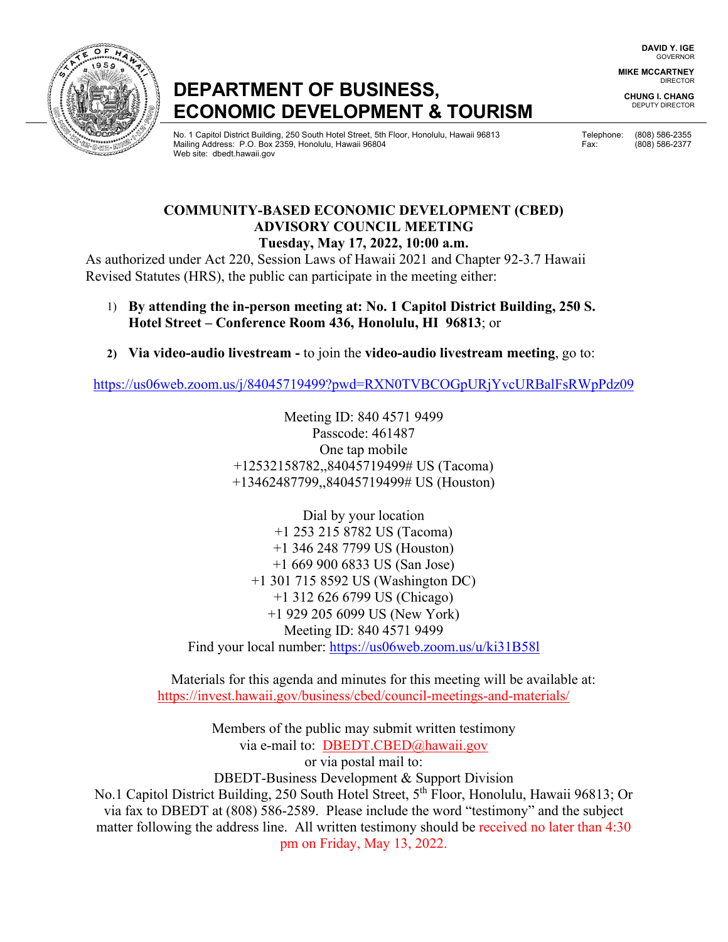## **DEPARTMENT OF BUSINESS, ECONOMIC DEVELOPMENT & TOURISM**

المستحدة المستحدة المستحدة المستحدة المستحدة المستحدة المستحدة المستحدة المستحدة المستحدة المستحدة المستحدة المستحدة لَّهُ الْمَرْدِيَّةُ Mailing Address: P.O. Box 2359, Honolulu, Hawaii 96804 Fax: (808) 586-2377 Fax: (808) 586-2377 Web site: dbedt.hawaii.gov

**DAVID Y. IGE** GOVERNOR

**MIKE MCCARTNEY** DIRECTOR

**CHUNG I. CHANG** DEPUTY DIRECTOR

**COMMUNITY-BASED ECONOMIC DEVELOPMENT (CBED) ADVISORY COUNCIL MEETING Tuesday, May 17, 2022, 10:00 a.m.** 

As authorized under Act 220, Session Laws of Hawaii 2021 and Chapter 92-3.7 Hawaii Revised Statutes (HRS), the public can participate in the meeting either:

- 1) **By attending the in-person meeting at: No. 1 Capitol District Building, 250 S. Hotel Street – Conference Room 436, Honolulu, HI 96813**; or
- **2) Via video-audio livestream** to join the **video-audio livestream meeting**, go to:

<https://us06web.zoom.us/j/84045719499?pwd=RXN0TVBCOGpURjYvcURBalFsRWpPdz09>

Meeting ID: 840 4571 9499 Passcode: 461487 One tap mobile +12532158782,,84045719499# US (Tacoma) +13462487799,,84045719499# US (Houston)

Dial by your location +1 253 215 8782 US (Tacoma) +1 346 248 7799 US (Houston) +1 669 900 6833 US (San Jose) +1 301 715 8592 US (Washington DC) +1 312 626 6799 US (Chicago) +1 929 205 6099 US (New York) Meeting ID: 840 4571 9499 Find your local number:<https://us06web.zoom.us/u/ki31B58l>

Materials for this agenda and minutes for this meeting will be available at: https://invest.hawaii.gov/business/cbed/council-meetings-and-materials/

Members of the public may submit written testimony via e-mail to: DBEDT.CBED@hawaii.gov or via postal mail to: DBEDT-Business Development & Support Division No.1 Capitol District Building, 250 South Hotel Street, 5<sup>th</sup> Floor, Honolulu, Hawaii 96813; Or

via fax to DBEDT at (808) 586-2589. Please include the word "testimony" and the subject matter following the address line. All written testimony should be received no later than 4:30 pm on Friday, May 13, 2022.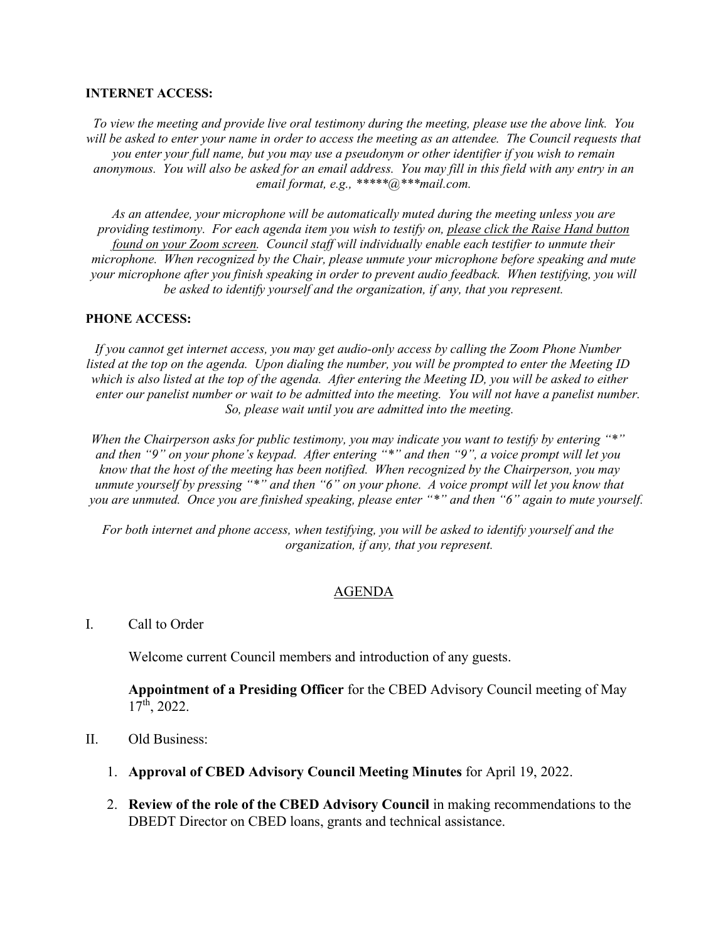## **INTERNET ACCESS:**

*To view the meeting and provide live oral testimony during the meeting, please use the above link. You*  will be asked to enter your name in order to access the meeting as an attendee. The Council requests that *you enter your full name, but you may use a pseudonym or other identifier if you wish to remain anonymous. You will also be asked for an email address. You may fill in this field with any entry in an email format, e.g., \*\*\*\*\*@\*\*\*mail.com.* 

*As an attendee, your microphone will be automatically muted during the meeting unless you are providing testimony. For each agenda item you wish to testify on, please click the Raise Hand button found on your Zoom screen. Council staff will individually enable each testifier to unmute their microphone. When recognized by the Chair, please unmute your microphone before speaking and mute your microphone after you finish speaking in order to prevent audio feedback. When testifying, you will be asked to identify yourself and the organization, if any, that you represent.* 

## **PHONE ACCESS:**

*If you cannot get internet access, you may get audio-only access by calling the Zoom Phone Number listed at the top on the agenda. Upon dialing the number, you will be prompted to enter the Meeting ID which is also listed at the top of the agenda. After entering the Meeting ID, you will be asked to either enter our panelist number or wait to be admitted into the meeting. You will not have a panelist number. So, please wait until you are admitted into the meeting.* 

*When the Chairperson asks for public testimony, you may indicate you want to testify by entering "\*" and then "9" on your phone's keypad. After entering "\*" and then "9", a voice prompt will let you know that the host of the meeting has been notified. When recognized by the Chairperson, you may unmute yourself by pressing "\*" and then "6" on your phone. A voice prompt will let you know that you are unmuted. Once you are finished speaking, please enter "\*" and then "6" again to mute yourself.*

*For both internet and phone access, when testifying, you will be asked to identify yourself and the organization, if any, that you represent.* 

## AGENDA

I. Call to Order

Welcome current Council members and introduction of any guests.

**Appointment of a Presiding Officer** for the CBED Advisory Council meeting of May 17th, 2022.

- II. Old Business:
	- 1. **Approval of CBED Advisory Council Meeting Minutes** for April 19, 2022.
	- 2. **Review of the role of the CBED Advisory Council** in making recommendations to the DBEDT Director on CBED loans, grants and technical assistance.